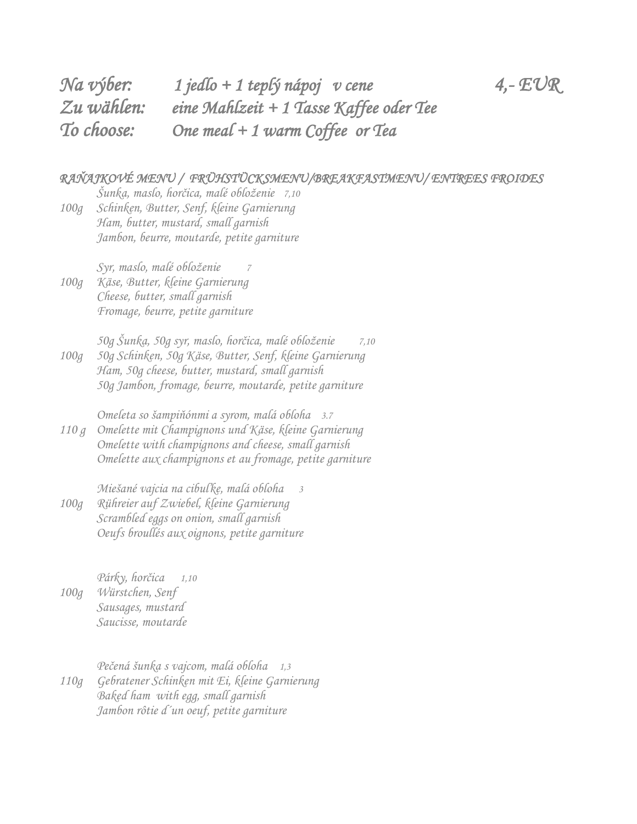| Na výber:    | 1 jedlo + 1 teplý nápoj v cene          | $4, -EUR$ |
|--------------|-----------------------------------------|-----------|
| $Zu$ wählen: | eine Mahlzeit + 1 Tasse Kaffee oder Tee |           |
| To choose:   | One meal + 1 warm Coffee or Tea         |           |

#### *RAŇAJKOVÉ MENU / FRÜHSTÜCKSMENU/BREAKFASTMENU/ ENTREES FROIDES*

 *Šunka, maslo, horčica, malé obloženie 7,10 100g Schinken, Butter, Senf, kleine Garnierung Ham, butter, mustard, small garnish Jambon, beurre, moutarde, petite garniture*

*Syr, maslo, malé obloženie 7 100g Käse, Butter, kleine Garnierung Cheese, butter, small garnish Fromage, beurre, petite garniture*

*50g Šunka, 50g syr, maslo, horčica, malé obloženie 7,10 100g 50g Schinken, 50g Käse, Butter, Senf, kleine Garnierung Ham, 50g cheese, butter, mustard, small garnish 50g Jambon, fromage, beurre, moutarde, petite garniture*

*Omeleta so šampiňónmi a syrom, malá obloha 3.7 110 g Omelette mit Champignons und Käse, kleine Garnierung Omelette with champignons and cheese, small garnish Omelette aux champignons et au fromage, petite garniture*

*Miešané vajcia na cibuľke, malá obloha 3 100g Rühreier auf Zwiebel, kleine Garnierung Scrambled eggs on onion, small garnish Oeufs broullés aux oignons, petite garniture*

*Párky, horčica 1,10 100g Würstchen, Senf Sausages, mustard Saucisse, moutarde*

*Pečená šunka s vajcom, malá obloha 1,3 110g Gebratener Schinken mit Ei, kleine Garnierung Baked ham with egg, small garnish Jambon rôtie d´un oeuf, petite garniture*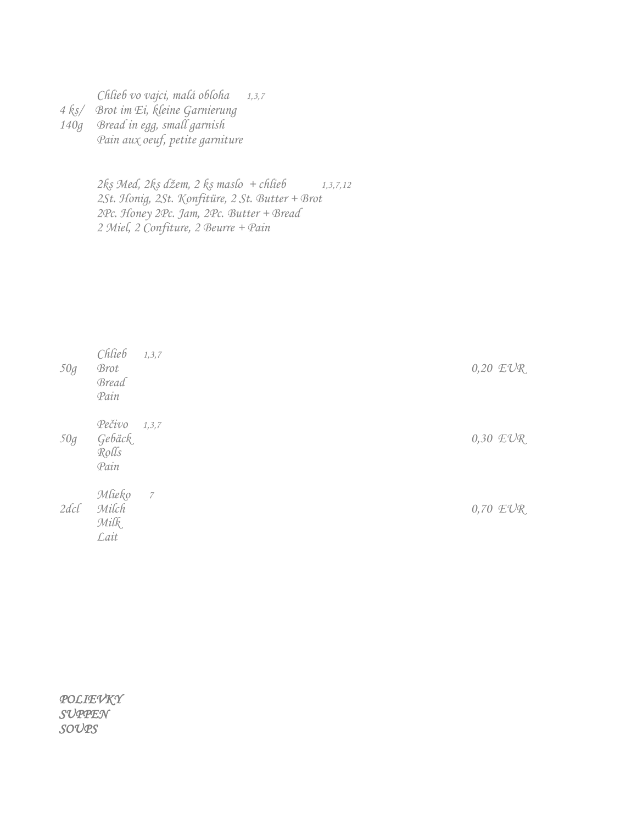*Chlieb vo vajci, malá obloha 1,3,7 4 ks/ Brot im Ei, kleine Garnierung 140g Bread in egg, small garnish Pain aux oeuf, petite garniture*

> *2ks Med, 2ks džem, 2 ks maslo + chlieb 1,3,7,12 2St. Honig, 2St. Konfitüre, 2 St. Butter + Brot 2Pc. Honey 2Pc. Jam, 2Pc. Butter + Bread 2 Miel, 2 Confiture, 2 Beurre + Pain*

| 50g  | Chlieb<br><b>Brot</b><br><b>Bread</b><br>Pain | 1, 3, 7 | $0,20$ $EVR$ |
|------|-----------------------------------------------|---------|--------------|
| 50g  | Pečivo<br>Gebäck<br>Rolls<br>Pain             | 1, 3, 7 | $0,30$ $EVR$ |
| 2dcl | Mlieko<br>Milch<br>Milk<br>Lait               | 7       | $0,70$ $EUR$ |

*POLIEVKY SUPPEN SOUPS*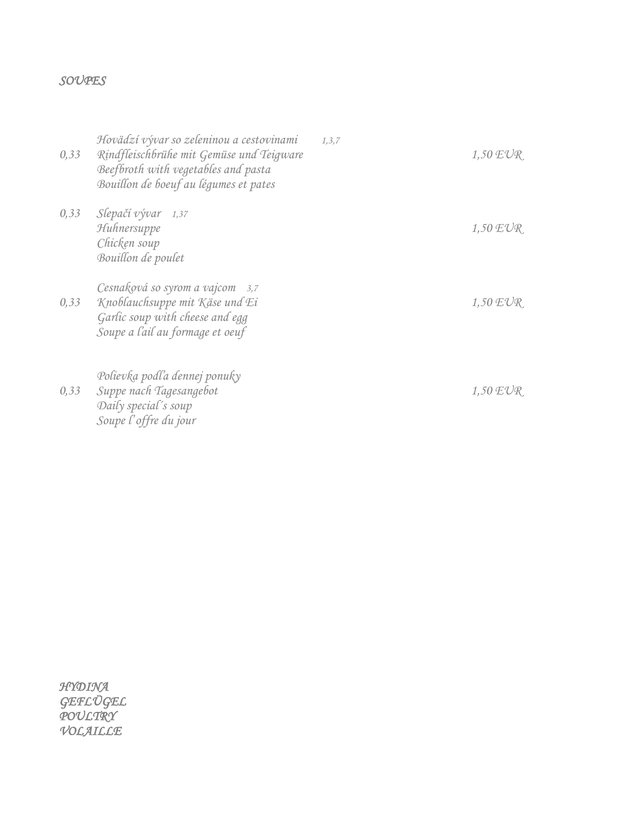#### *SOUPES*

| 0,33 | Hovädzí vývar so zeleninou a cestovinami<br>Rindfleischbrühe mit Gemüse und Teigware<br>Beefbroth with vegetables and pasta<br>Bouillon de boeuf au légumes et pates | 1, 3, 7 | $1,50 \text{ EVR}$ |
|------|----------------------------------------------------------------------------------------------------------------------------------------------------------------------|---------|--------------------|
| 0,33 | Slepačí vývar 1,37<br>Huhnersuppe<br>Chicken soup<br>Bouillon de poulet                                                                                              |         | $1,50$ $EVR$       |
| 0,33 | Cesnaková so syrom a vajcom 3,7<br>Knoblauchsuppe mit Käse und Ei<br>Garlic soup with cheese and egg<br>Soupe a l'ail au formage et oeuf                             |         | $1,50 \text{ EVR}$ |
| 0,33 | Polievka podľa dennej ponuky<br>Suppe nach Tagesangebot<br>Daily special's soup<br>Soupe l'offre du jour                                                             |         | $1,50 \text{ EVR}$ |

*HYDINA GEFLÜGEL POULTRY VOLAILLE*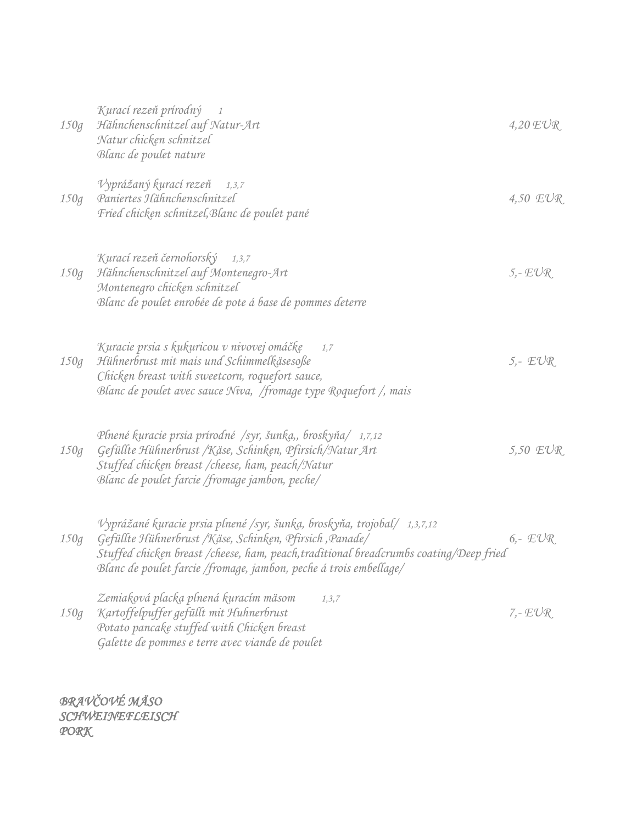| 150g | Kurací rezeň prírodný<br>$\overline{1}$<br>Hähnchenschnitzel auf Natur-Art<br>Natur chicken schnitzel<br>Blanc de poulet nature                                                                                                                                                                     | $4,20 \text{ EVR}$ |
|------|-----------------------------------------------------------------------------------------------------------------------------------------------------------------------------------------------------------------------------------------------------------------------------------------------------|--------------------|
| 150g | Vyprážaný kurací rezeň<br>1, 3, 7<br>Paniertes Hähnchenschnitzel<br>Fried chicken schnitzel, Blanc de poulet pané                                                                                                                                                                                   | 4,50 $EUR$         |
| 150g | Kurací rezeň černohorský 1,3,7<br>Hähnchenschnitzel auf Montenegro-Art<br>Montenegro chicken schnitzel<br>Blanc de poulet enrobée de pote á base de pommes deterre                                                                                                                                  | $5 - EUR$          |
| 150g | Kuracie prsia s kukuricou v nivovej omáčke<br>1,7<br>Hühnerbrust mit mais und Schimmelkäsesoße<br>Chicken breast with sweetcorn, roquefort sauce,<br>Blanc de poulet avec sauce Niva, /fromage type Roquefort /, mais                                                                               | $5 - EUR$          |
| 150g | Plnené kuracie prsia prírodné /syr, šunka,, broskyňa/ 1,7,12<br>Gefüllte Hühnerbrust /Käse, Schinken, Pfirsich/Natur Art<br>Stuffed chicken breast / cheese, ham, peach/Natur<br>Blanc de poulet farcie /fromage jambon, peche/                                                                     | 5,50 $EUR$         |
| 150g | Vyprážané kuracie prsia plnené /syr, šunka, broskyňa, trojobal/ 1,3,7,12<br>Gefüllte Hühnerbrust / Käse, Schinken, Pfirsich, Panade/<br>Stuffed chicken breast /cheese, ham, peach, traditional breadcrumbs coating/Deep fried<br>Blanc de poulet farcie /fromage, jambon, peche á trois embellage/ | $6 - EUR$          |
| 150g | Zemiaková placka plnená kuracím mäsom<br>1, 3, 7<br>Kartoffelpuffer gefüllt mit Huhnerbrust<br>Potato pancake stuffed with Chicken breast<br>Galette de pommes e terre avec viande de poulet                                                                                                        | $7 - EUR$          |

*BRAVČOVÉ MÄSO SCHWEINEFLEISCH PORK*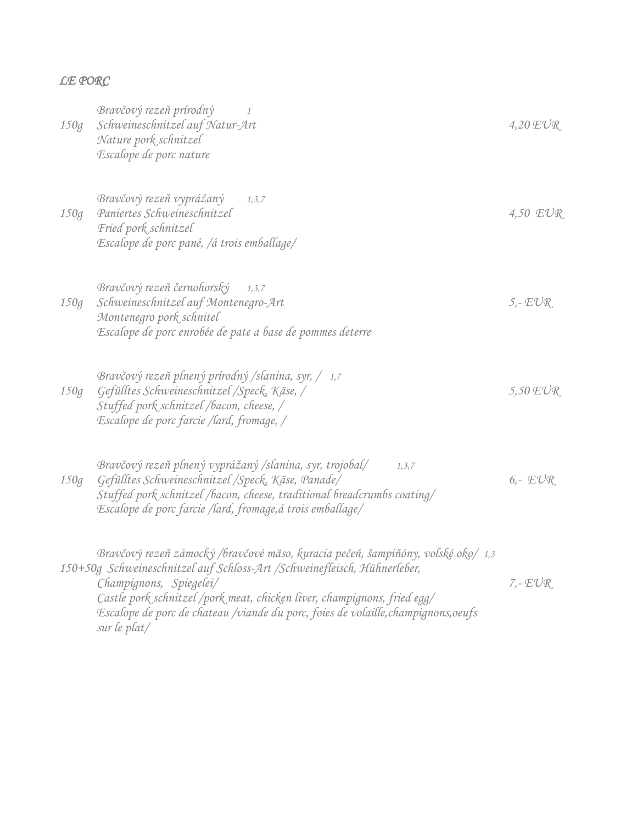#### *LE PORC*

| 150g | Bravčový rezeň prírodný<br>$\mathcal I$<br>Schweineschnitzel auf Natur-Art<br>Nature pork schnitzel<br>Escalope de porc nature                                                                                                                                                                                                                                             | $4,20 \text{ EVR}$ |
|------|----------------------------------------------------------------------------------------------------------------------------------------------------------------------------------------------------------------------------------------------------------------------------------------------------------------------------------------------------------------------------|--------------------|
| 150q | Bravčový rezeň vyprážaný<br>1, 3, 7<br>Paniertes Schweineschnitzel<br>Fried pork schnitzel<br>Escalope de porc pané, /á trois emballage/                                                                                                                                                                                                                                   | 4,50 EUR           |
| 150g | Bravčový rezeň černohorský<br>1, 3, 7<br>Schweineschnitzel auf Montenegro-Art<br>Montenegro pork schnitel<br>Escalope de porc enrobée de pate a base de pommes deterre                                                                                                                                                                                                     | $5 - EUR$          |
| 150g | Bravčový rezeň plnený prírodný /slanina, syr, / 1,7<br>Gefülltes Schweineschnitzel / Speck, Käse, /<br>Stuffed pork schnitzel /bacon, cheese, /<br>Escalope de porc farcie /lard, fromage, /                                                                                                                                                                               | $5,50$ $EVR$       |
| 150g | Bravčový rezeň plnený vyprážaný /slanina, syr, trojobal/<br>1, 3, 7<br>Gefülltes Schweineschnitzel / Speck, Käse, Panade/<br>Stuffed pork schnitzel /bacon, cheese, traditional breadcrumbs coating/<br>Escalope de porc farcie /lard, fromage, á trois emballage/                                                                                                         | $6 - EUR$          |
|      | Bravčový rezeň zámocký /bravčové mäso, kuracia pečeň, šampiňóny, volské oko/ 1,3<br>150+50g Schweineschnitzel auf Schloss-Art / Schweinefleisch, Hühnerleber,<br>Champignons, Spiegelei/<br>Castle pork schnitzel /pork meat, chicken liver, champignons, fried egg/<br>Escalope de porc de chateau /viande du porc, foies de volaille, champignons, oeufs<br>sur le plat/ | $7 - EUR$          |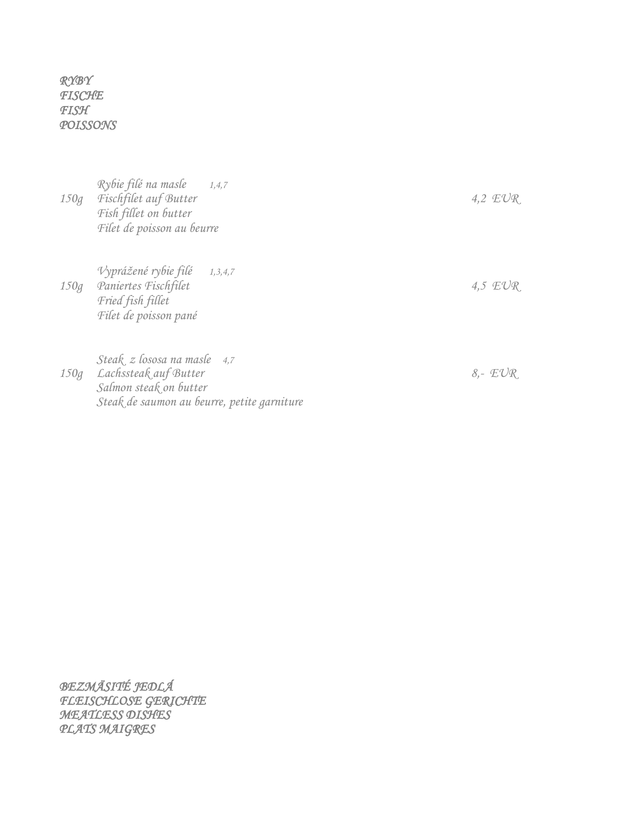*RYBY FISCHE FISH POISSONS* 

| 150g | Rybie filé na masle 1,4,7<br>Fischfilet auf Butter<br>Fish fillet on butter<br>Filet de poisson au beurre | 4,2 $EUR$ |
|------|-----------------------------------------------------------------------------------------------------------|-----------|
| 150g | Vyprážené rybie filé 1,3,4,7<br>Paniertes Fischfilet<br>Fried fish fillet<br>Filet de poisson pané        | 4,5 $EUR$ |
|      | Steak z lososa na masle 4,7<br>150g Lachssteak auf Butter                                                 | $8 - EUR$ |

*BEZMÄSITÉ JEDLÁ FLEISCHLOSE GERICHTE MEATLESS DISHES PLATS MAIGRES* 

*Salmon steak on butter*

*Steak de saumon au beurre, petite garniture*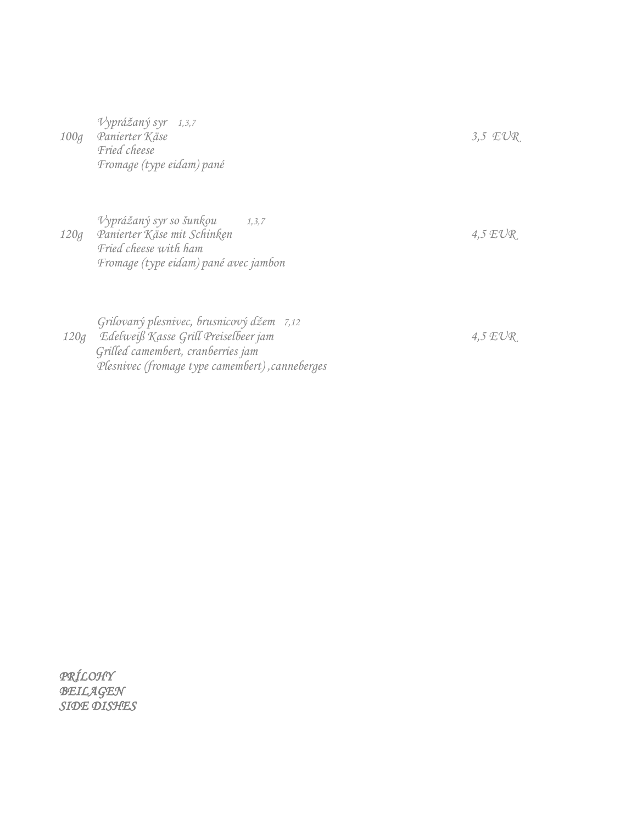*Vyprážaný syr 1,3,7 100g Panierter Käse 3,5 EUR Fried cheese Fromage (type eidam) pané*

*Vyprážaný syr so šunkou 1,3,7 120g Panierter Käse mit Schinken 4,5 EUR Fried cheese with ham Fromage (type eidam) pané avec jambon*

*Grilovaný plesnivec, brusnicový džem 7,12 120g Edelweiß Kasse Grill Preiselbeer jam 4,5 EUR Grilled camembert, cranberries jam Plesnivec (fromage type camembert) ,canneberges*

*PRÍLOHY BEILAGEN SIDE DISHES*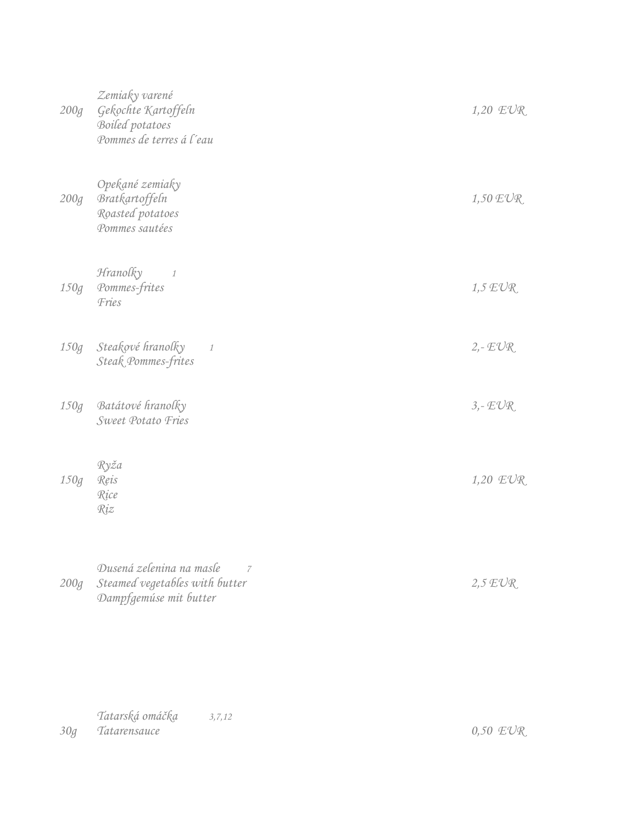| 200g | Zemiaky varené<br>Gekochte Kartoffeln<br>Boiled potatoes<br>Pommes de terres á l'eau                   | $1,20$ $EUR$ |
|------|--------------------------------------------------------------------------------------------------------|--------------|
| 200g | Opekané zemiaky<br>Bratkartoffeln<br>Roasted potatoes<br>Pommes sautées                                | $1,50$ $EVR$ |
| 150g | Hranolky<br>$\mathcal{I}$<br>Pommes-frites<br>Fries                                                    | $1,5$ $EUR$  |
| 150g | Steakové hranolky<br>$\mathcal{I}$<br>Steak Pommes-frites                                              | $2 - EUR$    |
| 150g | Batátové hranolky<br>Sweet Potato Fries                                                                | $3, - EUR$   |
| 150g | Ryža<br>Reis<br>Rice<br>Riz                                                                            | $1,20$ $EUR$ |
| 200g | Dusená zelenina na masle<br>$\overline{7}$<br>Steamed vegetables with butter<br>Dampfgemúse mit butter | $2.5$ $EUR$  |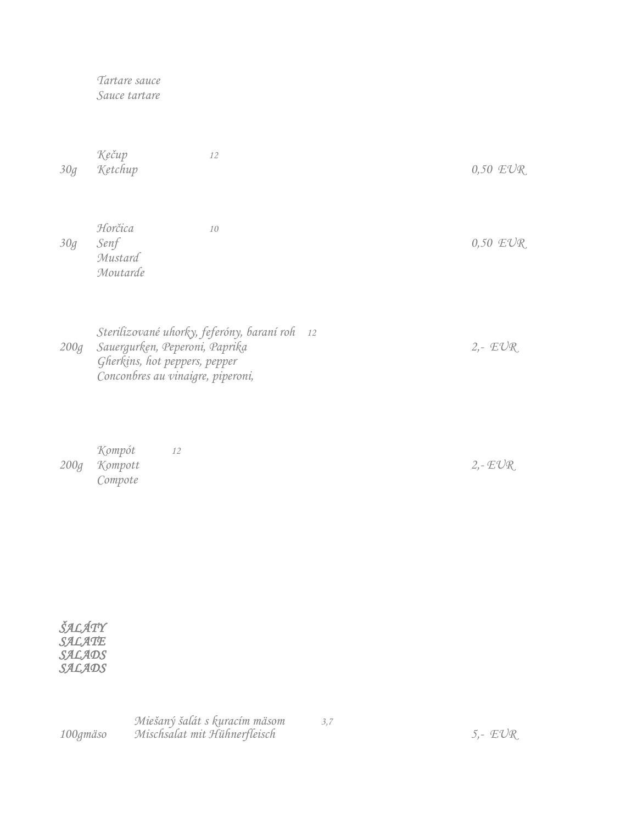*Tartare sauce Sauce tartare*

*Kečup 12 30g Ketchup 0,50 EUR*

*Horčica 10 30g Senf 0,50 EUR Mustard Moutarde*

*Sterilizované uhorky, feferóny, baraní roh 12 200g Sauergurken, Peperoni, Paprika 2,- EUR Gherkins, hot peppers, pepper Conconbres au vinaigre, piperoni,* 

*Kompót 12 200g Kompott 2,- EUR Compote*

| ŠALÁTY |
|--------|
| SALATE |
| SALADS |
| SALADS |

*Miešaný šalát s kuracím mäsom 3,7 100gmäso Mischsalat mit Hühnerfleisch 5,- EUR*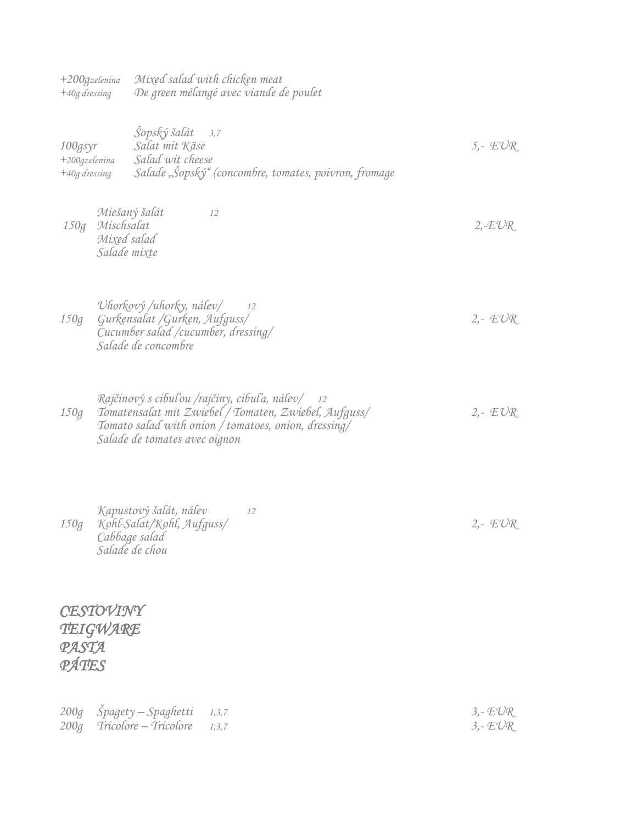*+200gzelenina Mixed salad with chicken meat +40g dressing De green mélangé avec viande de poulet* 

| 100gsyr<br>+200gzelenina<br>+40g dressing |                                           | Šopský šalát 3,7<br>Salat mit Käse<br>Salad wit cheese<br>Salade "Šopský" (concombre, tomates, poivron, fromage                                                                                   | $5 - EUR$                |
|-------------------------------------------|-------------------------------------------|---------------------------------------------------------------------------------------------------------------------------------------------------------------------------------------------------|--------------------------|
| 150g                                      | Mischsalat<br>Mixed salad<br>Salade mixte | Miešaný šalát<br>12                                                                                                                                                                               | $2, -EUR$                |
| 150g                                      |                                           | Uhorkový /uhorky, nálev/<br>12<br>Gurkensalat /Gurken, Aufguss/<br>Cucumber salad /cucumber, dressing/<br>Salade de concombre                                                                     | $2 - EUR$                |
| 150g                                      |                                           | Rajčinový s cibuľou /rajčiny, cibuľa, nálev/ 12<br>Tomatensalat mit Zwiebel / Tomaten, Zwiebel, Aufguss/<br>Tomato salad with onion / tomatoes, onion, dressing/<br>Salade de tomates avec oignon | $2 - EUR$                |
| 150g                                      |                                           | Kapustový šalát, nálev<br>12<br>Kohl-Salat/Kohl, Aufguss/<br>Cabbage salad<br>Salade de chou                                                                                                      | $2 - EUR$                |
| PASTA<br>PÁTES                            | CESTOVINY<br>TEIGWARE                     |                                                                                                                                                                                                   |                          |
| 200q<br>200q                              |                                           | Spagety - Spaghetti<br>1, 3, 7<br>Tricolore - Tricolore<br>1, 3, 7                                                                                                                                | $3, - EUR$<br>$3, - EUR$ |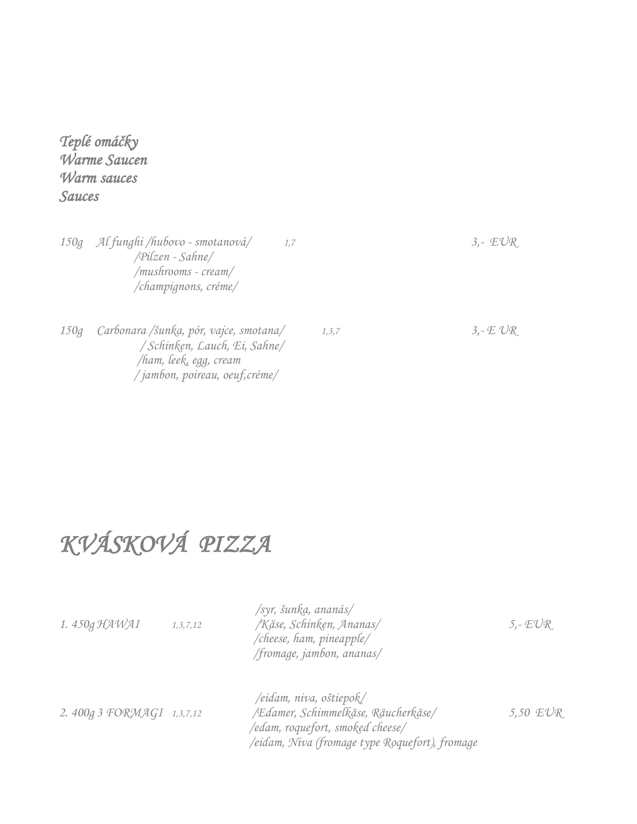### *Teplé omáčky Warme Saucen Warm sauces Sauces*

*150g Al funghi /hubovo - smotanová/ 1,7 3,- EUR /Pilzen - Sahne/ /mushrooms - cream/ /champignons, créme/ 150g Carbonara /šunka, pór, vajce, smotana/ 1,3,7 3,- E UR / Schinken, Lauch, Ei, Sahne/ /ham, leek, egg, cream / jambon, poireau, oeuf,créme/*

### *KVÁSKOVÁ PIZZA*

| 1.450g HAWAI              | 1, 3, 7, 12 | /syr, šunka, ananás/<br>/Käse, Schinken, Ananas/<br>/cheese, ham, pineapple/<br>/fromage, jambon, ananas/                                            | 5,- $E\mathcal{V}R$ |
|---------------------------|-------------|------------------------------------------------------------------------------------------------------------------------------------------------------|---------------------|
| 2.400g 3 FORMAGI 1,3,7,12 |             | /eidam, niva, oštiepok/<br>/Edamer, Schimmelkäse, Räucherkäse/<br>/edam, roquefort, smoked cheese/<br>/eidam, Niva (fromage type Roquefort), fromage | 5,50 $EUR$          |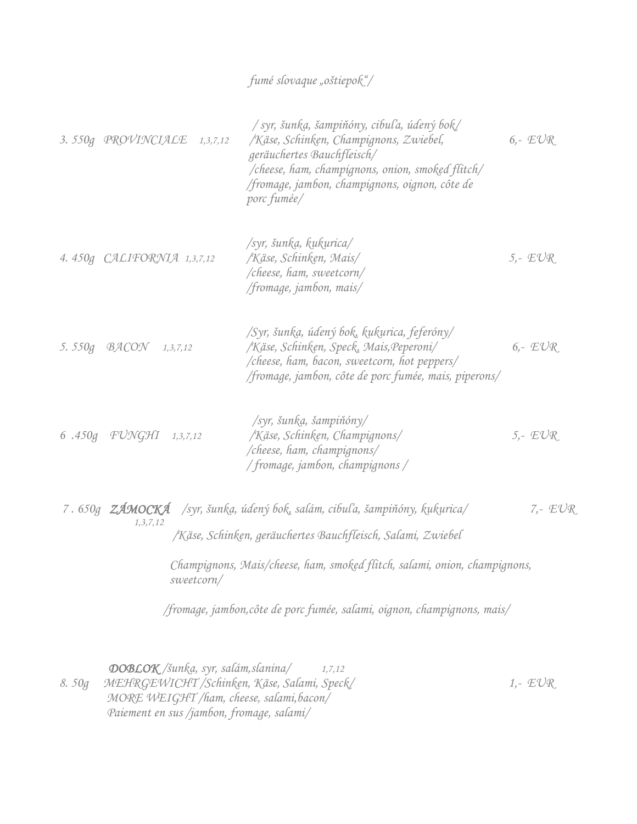#### *fumé slovaque "oštiepok"/*

| 3.550g PROVINCIALE         | 1, 3, 7, 12  | $\frac{1}{s}$ syr, šunką, šampiňóny, cibuľa, údený bok<br>/Käse, Schinken, Champignons, Zwiebel,<br>geräuchertes Bauchfleisch/<br>/cheese, ham, champignons, onion, smoked flitch/<br>fromage, jambon, champignons, oignon, côte de<br>porc fumée/                                                  | $6 - EUR$ |
|----------------------------|--------------|-----------------------------------------------------------------------------------------------------------------------------------------------------------------------------------------------------------------------------------------------------------------------------------------------------|-----------|
| 4.450g CALIFORNIA 1,3,7,12 |              | /syr, šunka, kukurica/<br>/Käse, Schinken, Mais/<br>$/$ cheese, ham, sweetcorn $/$<br>/fromage, jambon, mais/                                                                                                                                                                                       | $5 - EUR$ |
| 5.550g BACON               | 1, 3, 7, 12  | /Syr, šunka, údený bok, kukurica, feferóny/<br>/Käse, Schinken, Speck, Mais, Peperoni/<br>/cheese, ham, bacon, sweetcorn, hot peppers/<br>/fromage, jambon, côte de porc fumée, mais, piperons/                                                                                                     | $6 - EUR$ |
| $6.450g$ $FUNGHI$          | 1, 3, 7, 12  | $\sqrt{syn}$ , šunka, šampiňóny<br>/Käse, Schinken, Champignons/<br>$/$ cheese, ham, champignons $/$<br>/ fromage, jambon, champignons /                                                                                                                                                            | $5 - EUR$ |
| 1, 3, 7, 12                | $sw$ etcorn/ | 7. 650g ZÁMOCKÁ /syr, šunka, údený bok, salám, cibuľa, šampiňóny, kukurica/<br>/Käse, Schinken, geräuchertes Bauchfleisch, Salami, Zwiebel<br>Champignons, Mais/cheese, ham, smoked flitch, salami, onion, champignons,<br>/fromage, jambon, côte de porc fumée, salami, oignon, champignons, mais/ | $7 - EUR$ |
|                            |              |                                                                                                                                                                                                                                                                                                     |           |

 *DOBLOK /šunka, syr, salám,slanina/ 1,7,12 8. 50g MEHRGEWICHT /Schinken, Käse, Salami, Speck/ 1,- EUR MORE WEIGHT /ham, cheese, salami,bacon/ Paiement en sus /jambon, fromage, salami/*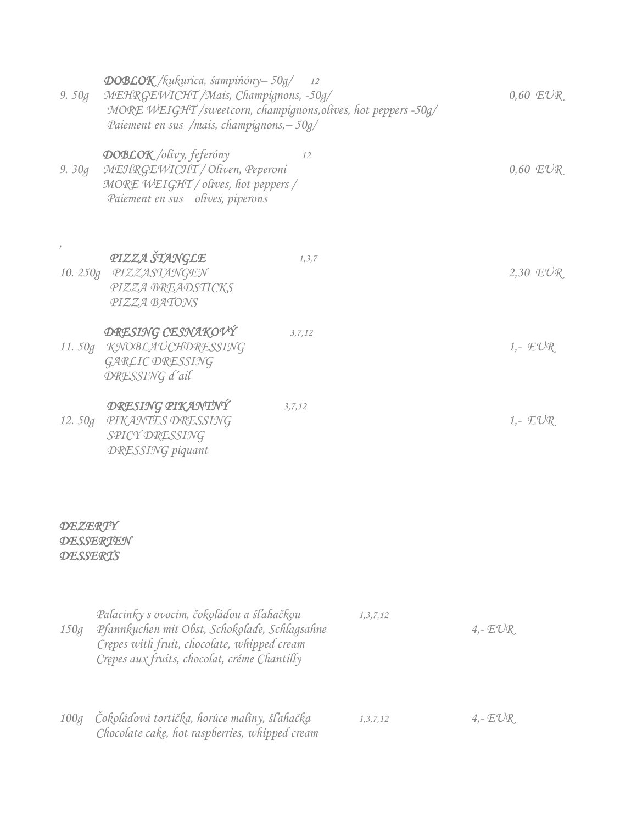| 9. $50g$         | $\overline{\text{DOBLOK}}$ /kukurica, šampiňóny-50g/ 12<br>MEHRGEWICHT /Mais, Champignons, -50g/<br>Paiement en sus /mais, champignons, - 50g/ | MORE WEIGHT /sweetcorn, champignons, olives, hot peppers -50g/ | $0.60$ $EUR$ |
|------------------|------------------------------------------------------------------------------------------------------------------------------------------------|----------------------------------------------------------------|--------------|
| 9.30q            | <b>DOBLOK</b> /olivy, feferóny<br>MEHRGEWICHT / Oliven, Peperoni<br>MORE WEIGHT / olives, hot peppers /<br>Paiement en sus olives, piperons    | 12                                                             | $0.60$ $EUR$ |
|                  | PIZZA ŠTANGLE<br>10. 250g PIZZASTANGEN<br>PIZZA BREADSTICKS<br>PIZZA BATONS                                                                    | 1, 3, 7                                                        | 2,30 $EUR$   |
|                  | DRESING CESNAKOVÝ<br>11. 50g KNOBLAUCHDRESSING<br>GARLIC DRESSING<br>DRESSING d'ail                                                            | 3, 7, 12                                                       | $1.7$ $EUR$  |
|                  | DRESING PIKANTNÝ<br>12. 50g PIKANTES DRESSING<br>SPICY DRESSING<br><b>DRESSING</b> piquant                                                     | 3, 7, 12                                                       | $1. - EUR$   |
| <b>DEZERTY</b>   |                                                                                                                                                |                                                                |              |
| <b>DESSERTEN</b> |                                                                                                                                                |                                                                |              |

#### *DESSERTS*

| 150q | Palacinky s ovocím, čokoládou a šľahačkou<br>Pfannkuchen mit Obst, Schokolade, Schlagsahne<br>Crepes with fruit, chocolate, whipped cream<br>Crepes aux fruits, chocolat, créme Chantilly | 1, 3, 7, 12 | $4.-EUR$ |
|------|-------------------------------------------------------------------------------------------------------------------------------------------------------------------------------------------|-------------|----------|
| 100q | Čokoládová tortička, horúce maliny, šľahačka<br>Chocolate cake, hot raspberries, whipped cream                                                                                            | 1, 3, 7, 12 | $4.-EUR$ |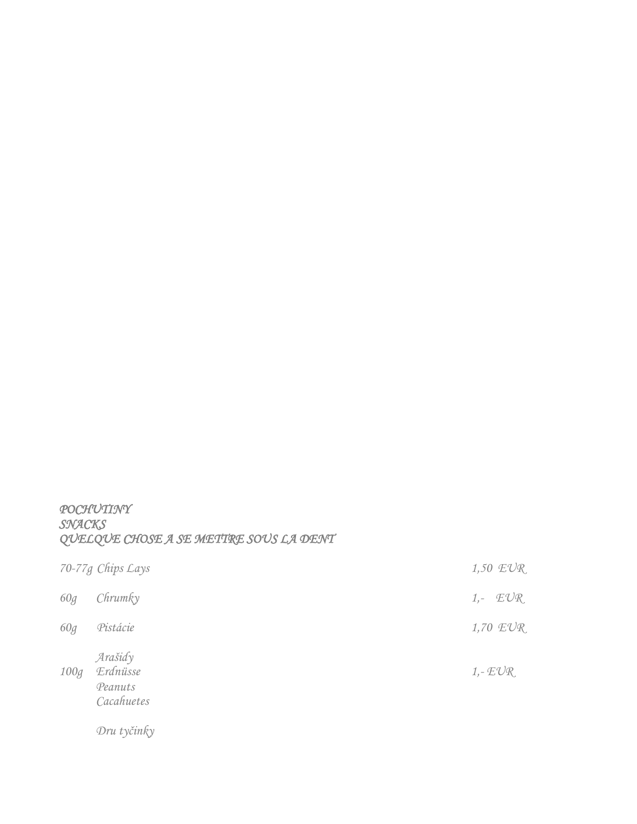#### *POCHUTINY SNACKS QUELQUE CHOSE A SE METTRE SOUS LA DENT*

|      | 70-77g Chips Lays                            | $1,50$ $EUR$ |
|------|----------------------------------------------|--------------|
| 60g  | Chrumky                                      | $1,  EUR$    |
| 60g  | Pistácie                                     | 1,70 EUR     |
| 100q | Arašidy<br>Erdnüsse<br>Peanuts<br>Cacahuetes | $1, -EUR$    |
|      | Dru tyčinky                                  |              |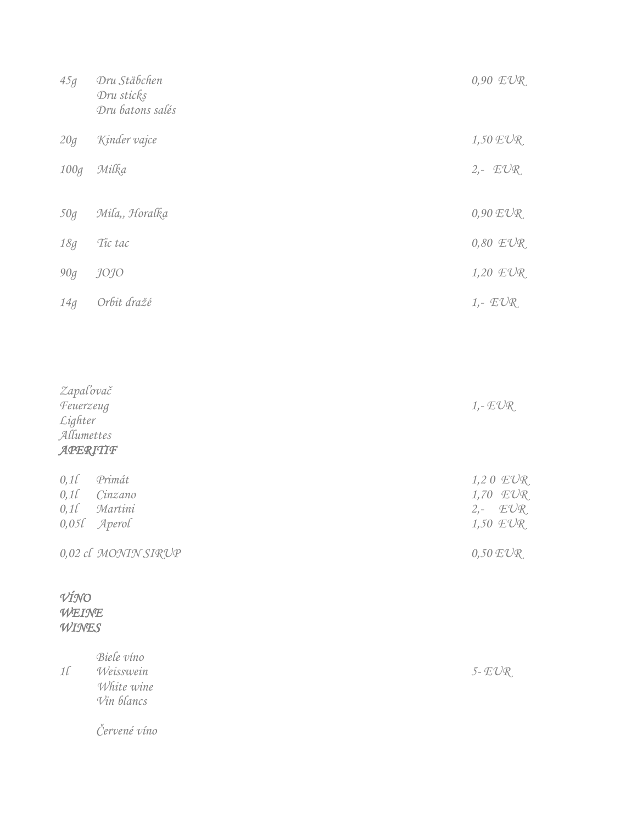| 45g                                                                 | Dru Stäbchen<br>Dru sticks<br>Dru batons salés      | 0,90 EUR                                           |
|---------------------------------------------------------------------|-----------------------------------------------------|----------------------------------------------------|
| 20g                                                                 | Kinder vajce                                        | $1,50$ $EUR$                                       |
| 100g                                                                | Milka                                               | $2 - EUR$                                          |
| 50g                                                                 | Mila,, Horalka                                      | $0,90$ $EVR$                                       |
| $18g$                                                               | Tic tac                                             | $0,80$ $EVR$                                       |
| $90g$                                                               | <i>JOJO</i>                                         | 1,20 EUR                                           |
| $14g\,$                                                             | Orbit dražé                                         | $1.$ $EUR$                                         |
| Zapaľovač<br>Feuerzeug<br>${\it Lighter}$<br>Allumettes<br>APERITIF |                                                     | $1, -EUR$                                          |
| 0,11<br>0,1<br>0,1<br>0,050                                         | Primát<br>Cinzano<br>Martini<br>Aperol              | 1,20 EUR<br>1,70 EUR<br>EUR<br>$2,-$<br>1,50 $EUR$ |
|                                                                     | 0,02 cl MONIN SIRUP                                 | $0,50$ $EVR$                                       |
| VÍNO<br>WEINE<br>WINES                                              |                                                     |                                                    |
| $1\ell$                                                             | Biele vino<br>Weisswein<br>White wine<br>Vin blancs | $5$ - $EVR$                                        |

*Červené víno*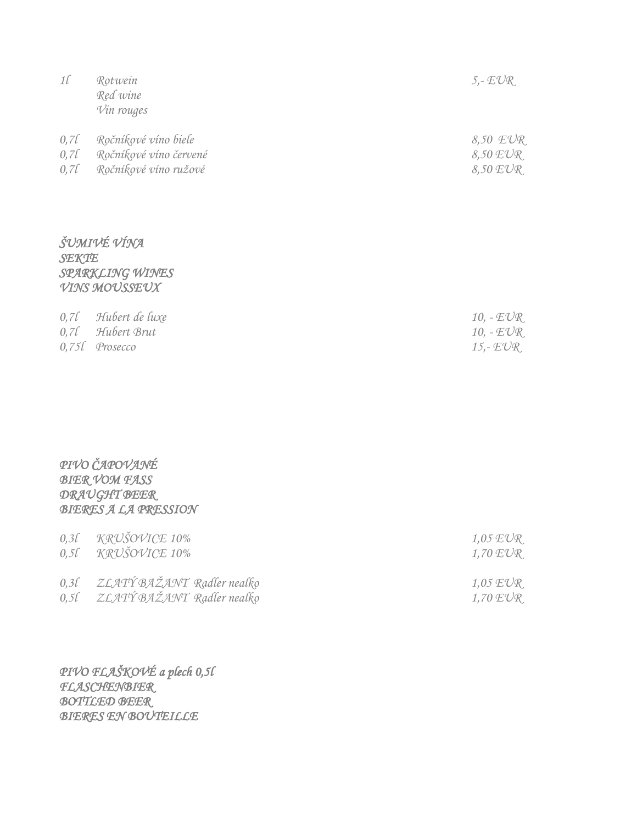| $1\ell$                             | Rotwein<br>Red wine<br>Vin rouges                                       | $5. - EUR$                               |
|-------------------------------------|-------------------------------------------------------------------------|------------------------------------------|
| $0,7\ell$<br>$0,7\ell$<br>$0,7\ell$ | Ročníkové víno biele<br>Ročníkové víno červené<br>Ročníkové víno ružové | 8,50 EUR<br>$8,50$ $EUR$<br>$8,50$ $EVR$ |
|                                     |                                                                         |                                          |

#### *ŠUMIVÉ VÍNA SEKTE SPARKLING WINES VINS MOUSSEUX*

| $0,7$ l Hubert de luxe     | 10, $-EUR$ |
|----------------------------|------------|
| $0.7$ <i>l</i> Hubert Brut | 10, $-EUR$ |
| $0,75$ l Prosecco          | 15,- EVR   |

#### *PIVO ČAPOVANÉ BIER VOM FASS DRAUGHT BEER BIERES A LA PRESSION*

|           | $0.31$ KRUSOVICE 10%<br>$0.5$ f KRUŠOVICE 10% | 1,05 EVR<br>$1,70 \ E\mathrm{\mathrm{U}}\mathrm{\mathrm{R}}$ |
|-----------|-----------------------------------------------|--------------------------------------------------------------|
| $0,3\ell$ | ZLATÝ BAŽANT Radler nealko                    | $1.05$ EVR                                                   |
| 0,5l      | ZLATÝ BAŽANT Radler nealko                    | $1,70 \ EUR$                                                 |

*PIVO FLAŠKOVÉ a plech 0,5l FLASCHENBIER BOTTLED BEER BIERES EN BOUTEILLE*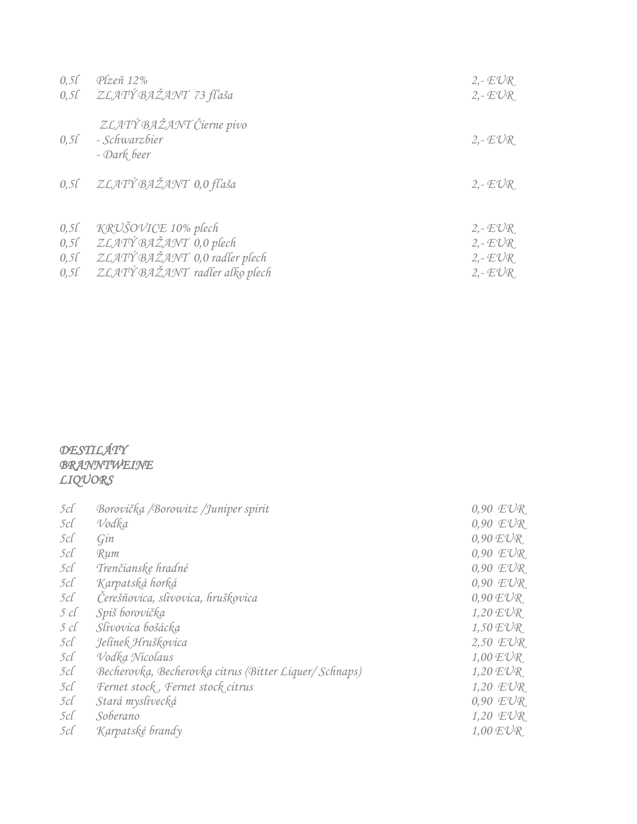| $0,5\ell$ | Plzeň 12%                                                | $2 - EUR$  |
|-----------|----------------------------------------------------------|------------|
| $0,5\ell$ | ZLATÝ BAŽANT 73 fľaša                                    | $2. - EUR$ |
| $0,5\ell$ | ZLATÝ BAŽANT Čierne pivo<br>- Schwarzbier<br>- Dark beer | $2 - EUR$  |
| $0,5\ell$ | ZLATÝ BAŽANT 0,0 fľaša                                   | $2 - EUR$  |
| 0,5l      | KRUŠOVICE 10% plech                                      | $2 - EUR$  |
| $0,5\ell$ | ZLATÝ BAŽANT 0,0 plech                                   | $2 - EUR$  |
| $0,5\ell$ | ZLATÝ BAŽANT 0,0 radler plech                            | $2 - EUR$  |
| $0,5\ell$ | ZLATÝ BAŽANT radler alko plech                           | $2 - EUR$  |

#### *DESTILÁTY BRANNTWEINE LIQUORS*

| $5c\ell$ | Borovička /Borowitz /Juniper spirit                    | $0.90$ $EVR$       |
|----------|--------------------------------------------------------|--------------------|
| 5cl      | Vodka                                                  | $0.90$ $EVR$       |
| 5cl      | Gin                                                    | $0.90$ $EVR$       |
| $5c\ell$ | Rum                                                    | $0.90$ $EVR$       |
| $5c\ell$ | Trenčianske hradné                                     | $0.90$ $EVR$       |
| 5cl      | Karpatská horká                                        | $0.90$ $EVR$       |
| $5c\ell$ | Čerešňovica, slivovica, hruškovica                     | $0.90 \text{EVR}$  |
| 5 c l    | Spiš borovička                                         | $1,20 \text{EVR}$  |
| 5 cl     | Slivovica bošácka                                      | $1,50$ $EVR$       |
| $5c\ell$ | Jelínek Hruškovica                                     | $2,50$ $EVR$       |
| $5c\ell$ | Vodka Nicolaus                                         | $1,00$ $EUR$       |
| $5c\ell$ | Becherovka, Becherovka citrus (Bitter Liquer/ Schnaps) | $1,20 \text{ EVR}$ |
| $5c\ell$ | Fernet stock, Fernet stock citrus                      | $1,20$ $EUR$       |
| $5c\ell$ | Stará myslivecká                                       | $0.90$ $EVR$       |
| $5c\ell$ | Soberano                                               | $1,20$ $EUR$       |
| $5c\ell$ | Karpatské brandy                                       | $1,00$ $EVR$       |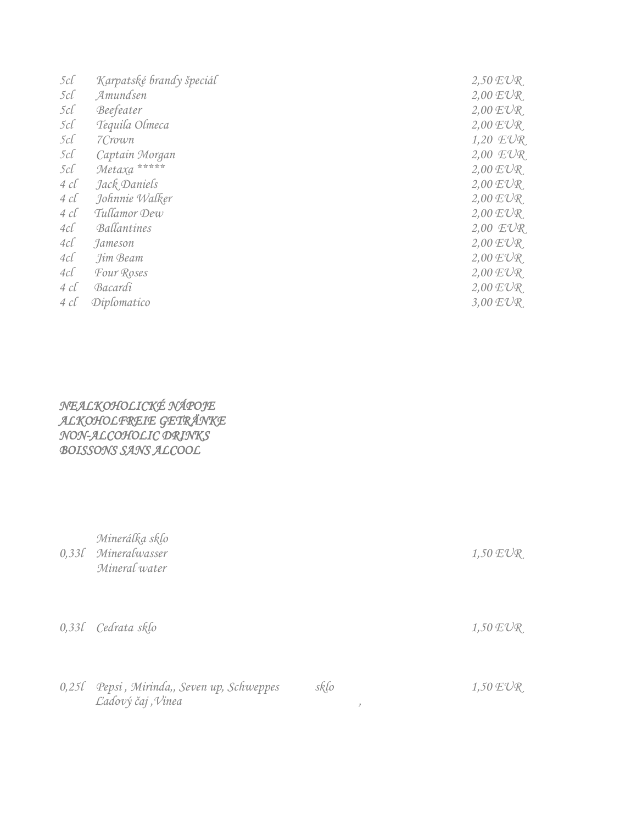| 5cl          | Karpatské brandy špeciál | $2,50$ $EVR$ |
|--------------|--------------------------|--------------|
| $5c\ell$     | Amundsen                 | $2,00$ $EVR$ |
| 5cl          | Beefeater                | $2,00$ $EVR$ |
| $5c\ell$     | Tequila Olmeca           | $2,00$ $EVR$ |
| $5c\ell$     | 7Crown                   | 1,20 EUR     |
| 5c           | Captain Morgan           | $2,00$ $EUR$ |
| $5c\ell$     | Metaxa *****             | $2,00$ $EUR$ |
| $4 \; c\ell$ | Jack Daniels             | $2,00$ $EVR$ |
| 4 cl         | Johnnie Walker           | $2,00$ $EVR$ |
| 4 cl         | Tullamor Dew             | $2,00$ $EVR$ |
| $4c\ell$     | Ballantines              | 2,00 EUR     |
| 4cl          | Jameson                  | $2,00$ $EVR$ |
| 4cl          | Jim Beam                 | $2,00$ $EVR$ |
| 4cl          | Four Roses               | $2,00$ $EVR$ |
| $4 \; c\ell$ | Bacardi                  | $2,00$ $EVR$ |
| 4 cl         | Diplomatico              | $3,00$ $EUR$ |
|              |                          |              |

*NEALKOHOLICKÉ NÁPOJE ALKOHOLFREIE GETRÄNKE NON-ALCOHOLIC DRINKS BOISSONS SANS ALCOOL* 

| $0,33\ell$ | Minerálka sklo<br>Mineralwasser<br>Mineral water          |      |               | $1,50$ $EUR$ |
|------------|-----------------------------------------------------------|------|---------------|--------------|
|            | 0,33l Cedrata sklo                                        |      |               | $1,50$ $EVR$ |
| $0,25\ell$ | Pepsi, Mirinda,, Seven up, Schweppes<br>Ľadový čaj, Vinea | sklo | $\mathcal{I}$ | $1,50$ $EVR$ |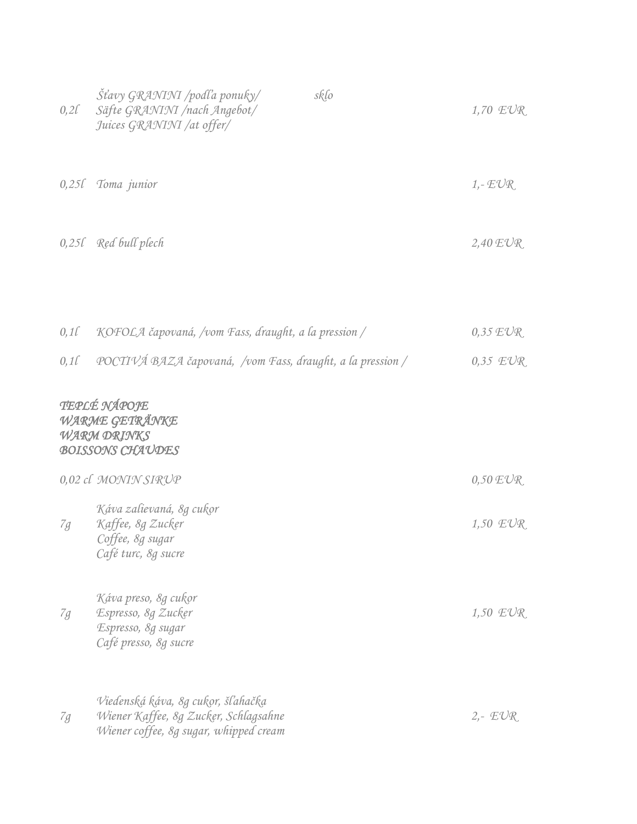| $0,2\ell$ | <i>Šťavy GRANINI /podľa ponuky/</i><br>sklo<br>Säfte GRANINI /nach Angebot/<br>Juices GRANINI /at offer/              | 1,70 $EVR$            |
|-----------|-----------------------------------------------------------------------------------------------------------------------|-----------------------|
|           | 0,25l Toma junior                                                                                                     | $1, -EUR$             |
|           | $0,25l$ Red bull plech                                                                                                | $2,40$ $EVR$          |
|           |                                                                                                                       |                       |
| $0,1\ell$ | KOFOLA čapovaná, /vom Fass, draught, a la pression /                                                                  | $0.35 \,\mathrm{EVR}$ |
| 0,1       | POCTIVÁ BAZA čapovaná, /vom Fass, draught, a la pression /                                                            | $0.35$ $EVR$          |
|           | TEPLÉ NÁPOJE<br>WARME GETRÄNKE<br><b>WARM DRINKS</b><br><b>BOISSONS CHAUDES</b><br>0,02 cl MONIN SIRUP                | $0,50$ $EVR$          |
| 7g        | Káva zalievaná, 8g cukor<br>Kaffee, 8g Zucker<br>Coffee, 8g sugar<br>Café turc, 8g sucre                              | $1,50$ $EUR$          |
| 7g        | Káva preso, 8g cukor<br>Espresso, 8g Zucker<br>Espresso, 8g sugar<br>Café presso, 8g sucre                            | $1,50$ $EUR$          |
| 7g        | Viedenská káva, 8g cukor, šľahačka<br>Wiener Kaffee, 8g Zucker, Schlagsahne<br>Wiener coffee, 8g sugar, whipped cream | $2 - E \mathcal{V} R$ |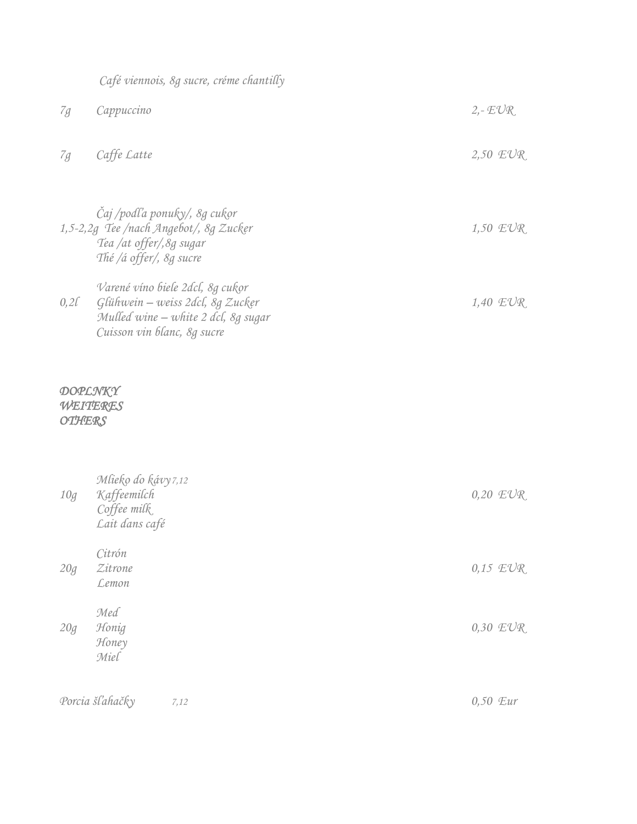|                                      | Café viennois, 8g sucre, créme chantilly                                                                                                   |           |              |
|--------------------------------------|--------------------------------------------------------------------------------------------------------------------------------------------|-----------|--------------|
| 7g                                   | Cappuccino                                                                                                                                 | $2 - EUR$ |              |
| 7g                                   | Caffe Latte                                                                                                                                |           | $2,50$ $EVR$ |
|                                      | Čaj /podľa ponuky/, 8g cukor<br>1,5-2,2g Tee /nach Angebot/, 8g Zucker<br>Tea /at offer/, 8g sugar<br>Thé /á offer/, 8g sucre              |           | $1,50$ $EVR$ |
| $0,2\ell$                            | Varené víno biele 2dcl, 8g cukor<br>Glühwein - weiss 2dcl, 8g Zucker<br>Mulled wine - white 2 dcl, 8g sugar<br>Cuisson vin blanc, 8g sucre |           | 1,40 EUR     |
| DOPLNKY<br>WEITERES<br><b>OTHERS</b> |                                                                                                                                            |           |              |
| $10\ensuremath{g}\xspace$            | Mlieko do kávy 7,12<br>Kaffeemilch<br>Coffee milk<br>Lait dans café                                                                        |           | $0,20$ $EVR$ |
| 20g                                  | Citrón<br>Zitrone<br>Lemon                                                                                                                 |           | $0.15$ $EUR$ |
| 20g                                  | Med<br>Honig<br>Honey<br>Miel                                                                                                              |           | 0,30 EUR     |
|                                      | Porcia šľahačky<br>7,12                                                                                                                    | 0,50 Eur  |              |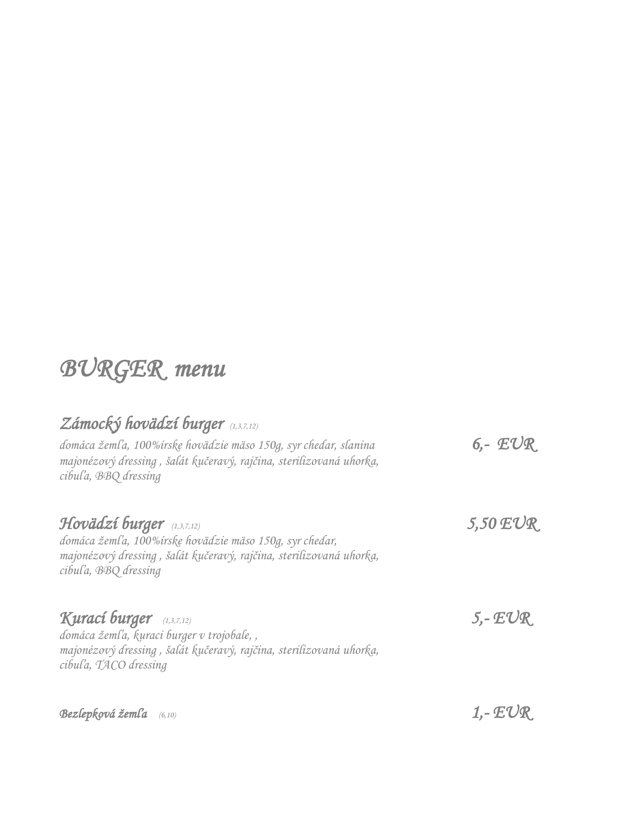## *BURGER menu*

### *Zámocký hovädzí burger (1,3,7,12)*

| domáca žemľa, 100%írske hovädzie mäso 150g, syr chedar, slanina<br>majonézový dressing, šalát kučeravý, rajčina, sterilizovaná uhorka,<br>cibul'a, BBQ dressing                        | $6 - EUR$          |
|----------------------------------------------------------------------------------------------------------------------------------------------------------------------------------------|--------------------|
| Hovädzí burger $(1,3,7,12)$<br>domáca žemľa, 100%írske hovädzie mäso 150g, syr chedar,<br>majonézový dressing, šalát kučeravý, rajčina, sterilizovaná uhorka,<br>cibul'a, BBQ dressing | $5,50$ $EUR$       |
| Kurací burger (1,3,7,12)<br>domáca žemľa, kuraci burger v trojobale,,<br>majonézový dressing, šalát kučeravý, rajčina, sterilizovaná uhorka,<br>cibul'a, TACO dressing                 | $5 - EUR$          |
| Bezlepková žemľa $(6,10)$                                                                                                                                                              | 1,- $\mathcal{FL}$ |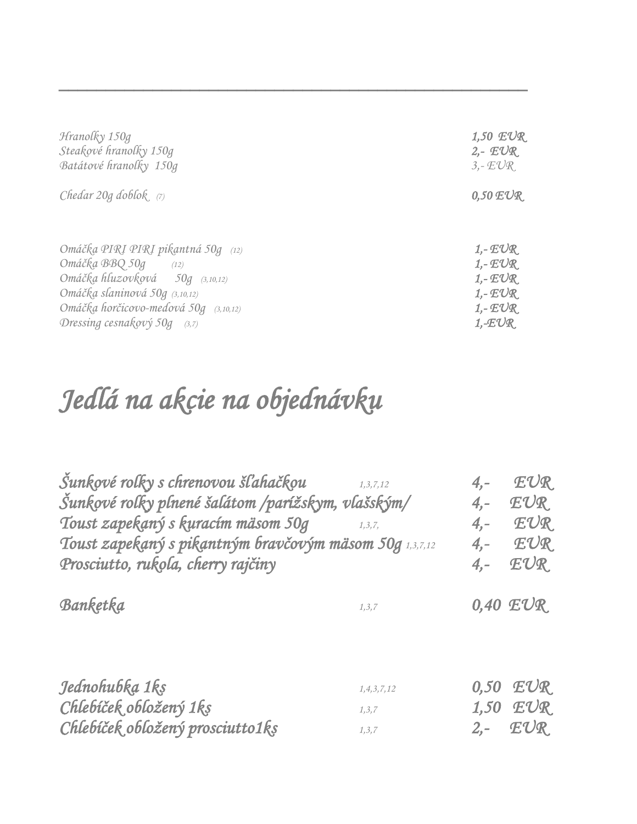| Hranolky 150g                         | 1,50 $EUR$               |
|---------------------------------------|--------------------------|
| Steakové hranolky 150g                | $2 - EUR$                |
| Batátové hranolky 150g                | $3. - EUR$               |
| Chedar $20g$ doblok $(7)$             | $0,50$ $EVR$             |
| Omáčka PIRI PIRI pikantná 50g (12)    | $1,$ - E $\mathcal{U}$ R |
| Omáčka BBQ 50g (12)                   | $1, -EUR$                |
| Omáčka hluzovková 50g (3,10,12)       | $1 - EUR$                |
| Omáčka slaninová 50g (3,10,12)        | $1 - EUR$                |
| Omáčka horčicovo-medová 50g (3,10,12) | $1 - EUR$                |
| Dressing cesnakový 50g $(3,7)$        | $1, -EUR$                |

*\_\_\_\_\_\_\_\_\_\_\_\_\_\_\_\_\_\_\_\_\_\_\_\_\_\_\_\_\_\_\_\_\_\_\_\_\_\_\_\_\_\_\_\_\_\_\_\_\_\_* 

# *Jedlá na akcie na objednávku*

| Šunkové rolky s chrenovou šľahačkou<br>Šunkové rolky plnené šalátom /parížskym, vlašským/<br>Toust zapekaný s kuracím mäsom 50g<br>Toust zapekaný s pikantným bravčovým mäsom 50g 1,3,7,12<br>Prosciutto, rukola, cherry rajčiny | 1, 3, 7, 12<br>1, 3, 7,              | $4, -$<br>$4, -$<br>$4, -$<br>$4, -$<br>$4, -$ | EUR<br>EUR<br>EUR<br>EUR<br>EUR         |
|----------------------------------------------------------------------------------------------------------------------------------------------------------------------------------------------------------------------------------|--------------------------------------|------------------------------------------------|-----------------------------------------|
| Banketka                                                                                                                                                                                                                         | 1, 3, 7                              |                                                | $0,40$ $EUR$                            |
| Jednohubka 1ks<br>Chlebíček obložený 1ks<br>Chlebíček obložený prosciutto1ks                                                                                                                                                     | 1, 4, 3, 7, 12<br>1, 3, 7<br>1, 3, 7 | 0,50<br>1,50<br>$2, -$                         | $E\mathcal{U}\mathcal{R}$<br>EUR<br>EUR |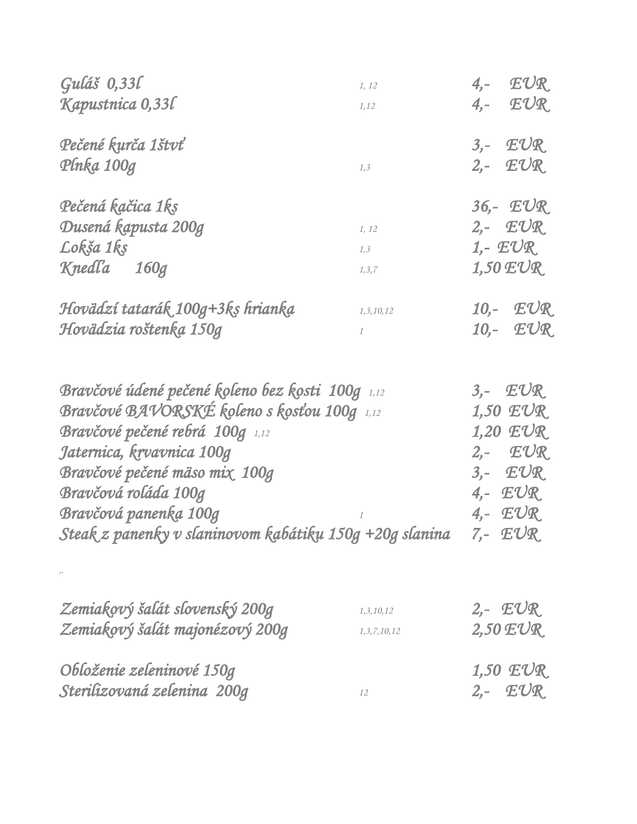| Guláš 0,33l                                             | 1, 12           | EUR<br>$4,-$                           |
|---------------------------------------------------------|-----------------|----------------------------------------|
| Kapustnica 0,33l                                        | 1,12            | $4,  EUR$                              |
| Pečené kurča 1štvť                                      |                 | $3,  EUR$                              |
| Plnka 100g                                              | 1, 3            | $2$ ,- $EUR$                           |
| Pečená kačica 1ks                                       |                 | $36 - EUR$                             |
| Dusená kapusta 200g                                     | 1, 12           | $2 - EUR$                              |
| Lokša 1ks                                               | 1,3             | 1,- $EUR$                              |
| Knedľa 160g                                             | 1, 3, 7         | $1,50$ $EUR$                           |
| Hovädzí tatarák 100g+3ks hrianka                        | 1,3,10,12       | 10,- EUR                               |
| Hovädzia roštenka 150g                                  | 1               | 10,- EUR                               |
| Bravčové údené pečené koleno bez kosti 100g 1,12        |                 | $3, - EUR$                             |
| <b>Bravčové BAVORSKÉ koleno s kosťou 100g</b> 1,12      |                 | $1,50$ $EUR$                           |
| Bravčové pečené rebrá 100g 1,12                         |                 | $1,20$ $EUR$                           |
| Jaternica, krvavnica 100g                               |                 | $2,  EUR$                              |
| Bravčové pečené mäso mix 100g                           |                 | $3 - \mathbb{E} \mathbb{U} \mathbb{R}$ |
| Bravčová roláda 100g                                    |                 | $4 - EUR$                              |
| Bravčová panenka 100g                                   |                 | $4 - EUR$                              |
| Steak z panenky v slaninovom kabátiku 150g +20g slanina |                 | $7 - EUR$                              |
|                                                         |                 |                                        |
| Zemiakový šalát slovenský 200g                          | 1, 3, 10, 12    | $2 - EUR$                              |
| Zemiakový šalát majonézový 200g                         | 1, 3, 7, 10, 12 | $2,50$ $EUR$                           |
| Obloženie zeleninové 150g                               |                 | $1,50$ $EUR$                           |
| Sterilizovaná zelenina 200g                             | 12              | $2,  EUR$                              |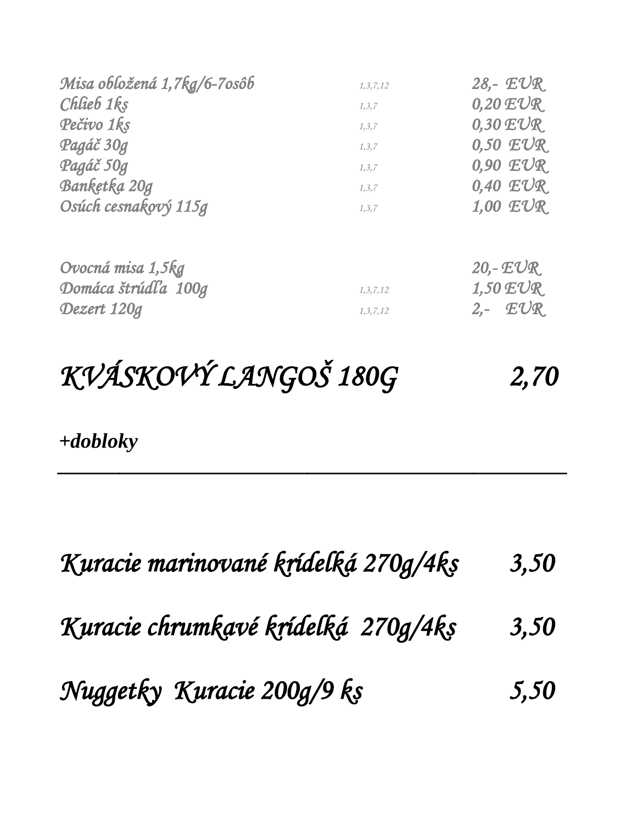| Misa obložená 1,7kg/6-7osôb | 1, 3, 7, 12 | 28,- $EUR$         |
|-----------------------------|-------------|--------------------|
| Chlieb 1ks                  | 1, 3, 7     | $0,20 \text{ EVR}$ |
| Pečivo 1ks                  | 1, 3, 7     | $0.30$ $EUR$       |
| Pagáč 30g                   | 1, 3, 7     | $0.50$ $EUR$       |
| Pagáč 50g                   | 1, 3, 7     | $0.90$ $EVR$       |
| Banketka 20g                | 1, 3, 7     | $0,40$ $EUR$       |
| Osúch cesnakový 115g        | 1, 3, 7     | $1,00$ $EUR$       |
| Ovocná misa 1,5kg           |             | 20,- $EUR$         |
| Domáca štrúdľa 100g         | 1, 3, 7, 12 | $1,50$ $EUR$       |
| Dezert 120g                 | 1, 3, 7, 12 | $2,  EUR$          |

# *KVÁSKOVÝ LANGOŠ 180G 2,70*

*\_\_\_\_\_\_\_\_\_\_\_\_\_\_\_\_\_\_\_\_\_\_\_\_\_\_\_\_\_\_\_\_\_\_\_\_\_\_\_\_\_\_\_\_\_\_\_\_\_*

*+dobloky*

| Kuracie marinované krídelká 270g/4ks | 3,50 |
|--------------------------------------|------|
| Kuracie chrumkavé krídelká 270g/4ks  | 3,50 |
| Nuggetky Kuracie 200g/9 ks           | 5,50 |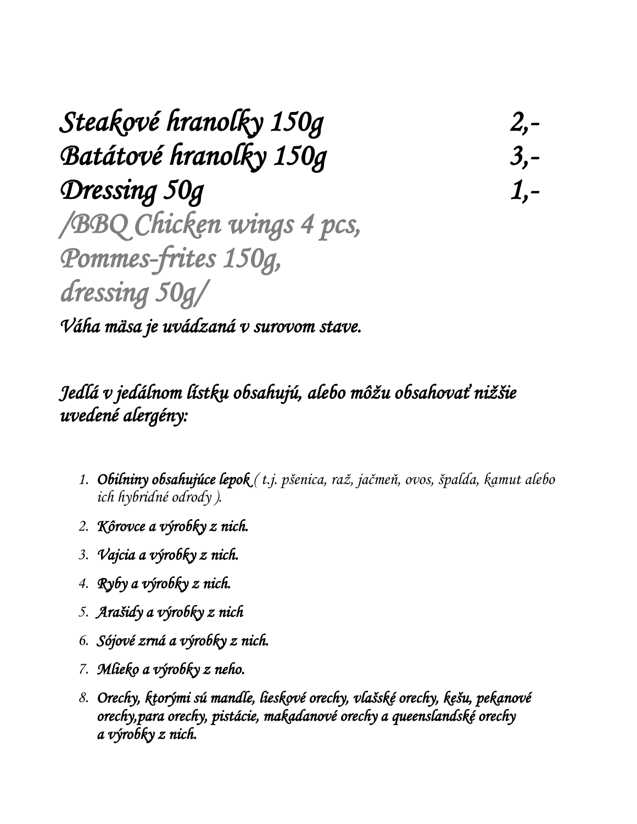*Steakové hranolky 150g 2,- Batátové hranolky 150g 3,- Dressing 50g 1,- /BBQ Chicken wings 4 pcs, Pommes-frites 150g, dressing 50g/* 

*Váha mäsa je uvádzaná v surovom stave.* 

### *Jedlá v jedálnom lístku obsahujú, alebo môžu obsahovať nižšie uvedené alergény:*

- *1. Obilniny obsahujúce lepok ( t.j. pšenica, raž, jačmeň, ovos, špalda, kamut alebo ich hybridné odrody ).*
- *2. Kôrovce a výrobky z nich.*
- *3. Vajcia a výrobky z nich.*
- *4. Ryby a výrobky z nich.*
- *5. Arašidy a výrobky z nich*
- *6. Sójové zrná a výrobky z nich.*
- *7. Mlieko a výrobky z neho.*
- *8. Orechy, ktorými sú mandle, lieskové orechy, vlašské orechy, kešu, pekanové orechy,para orechy, pistácie, makadanové orechy a queenslandské orechy a výrobky z nich.*